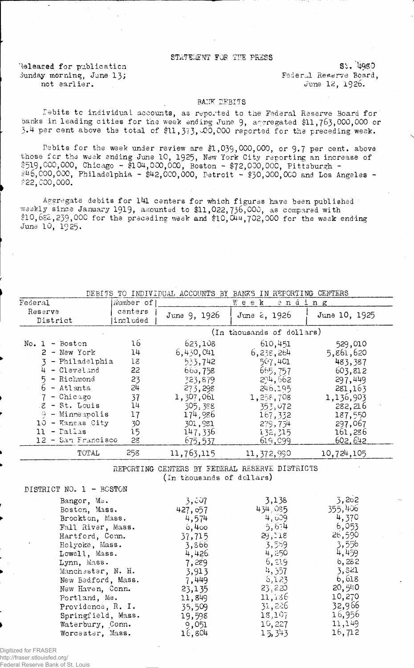## STATEMENT FOR THE PRESS

Released for publication St. 1980 iunday morning, June 13;<br>
not earlier.<br>  $\frac{13}{5}$  and  $\frac{13}{5}$  and  $\frac{12}{5}$  and  $\frac{12}{5}$  1926.

June 12, 1926.

## BANK DEBITS

Debits to individual accounts, as reported to the Federal Reserve Board for banks in leading cities for the week ending June 9, aggregated \$11,763,000,000 or  $3.4$  per cent above the total of  $$11, 373, \emptyset$ 0,000 reported for the preceding weak.

Debits for the week under review are  $$1,039,000,000$ , or 9.7 per cent. above those fcr the week ending June 10, 1925, New York City reporting an increase of \$519,000,000, Chicago - \$104,000,000, Boston - \$72,000,000, Pittsburgh - #46,000,000, Philadelphia - \$42,000,000, Detroit - \$30,000,000 and Los Angeles -  $*22,000,000.$ 

Aggregate debits for l4l centers for which figures have been published weekly since January 1919, amounted to \$11,022,736,000, as compared with  $\$10,682,239,000$  for the preceding week and  $\$10,044,702,000$  for the week ending June 10, 1925.

| BEBIIS TO INDIVIDUAL ACCOUNTS BY<br>RWW2<br>IN REFORIING CENIERS                                                                                                                                  |                                                                |                                                                                                                            |                                                                                                                            |                                                                                                                           |
|---------------------------------------------------------------------------------------------------------------------------------------------------------------------------------------------------|----------------------------------------------------------------|----------------------------------------------------------------------------------------------------------------------------|----------------------------------------------------------------------------------------------------------------------------|---------------------------------------------------------------------------------------------------------------------------|
| $\rm{Federa1}$                                                                                                                                                                                    | Number of                                                      |                                                                                                                            | Week<br>ending                                                                                                             |                                                                                                                           |
| Reserve<br>District                                                                                                                                                                               | centers<br>included                                            | June 9, 1926                                                                                                               | June 2, 1926                                                                                                               | June 10, 1925                                                                                                             |
|                                                                                                                                                                                                   |                                                                | (In thousands of dollars)                                                                                                  |                                                                                                                            |                                                                                                                           |
| $No. 1 - Boston$<br>$2 - New York$<br>- Philadelphia<br>- Cleveland<br>$5 - Richard$<br>- Atlanta<br>- Chicago<br>- St. Louis<br>8.<br>- Minneapolis<br>Ģ<br>- Kansas City<br>10<br>$11 -$ Pallas | 16<br>14<br>18<br>22<br>23<br>24<br>37<br>14<br>17<br>30<br>15 | 623,108<br>6,430,041<br>533,742<br>660, 758<br>323,879<br>273,298<br>1,307,061<br>305,388<br>174,986<br>301,981<br>147,336 | 610,451<br>6,238,264<br>507,401<br>665,757<br>294,662<br>246,195<br>1,258,708<br>353,072<br>167,332<br>279,734<br>132, 315 | 529,010<br>5,861,620<br>483,387<br>603,812<br>297,449<br>281,163<br>1,136,903<br>282,216<br>187,550<br>297,067<br>161,286 |
| 12 - San Francisco                                                                                                                                                                                | 28                                                             | 675,537                                                                                                                    | 619,099                                                                                                                    | 602, 642                                                                                                                  |
| TOTAL                                                                                                                                                                                             | 258                                                            | 11,763,115                                                                                                                 | 11, 372, 990                                                                                                               | 10,724,105                                                                                                                |

DEBITS TO INDIVIDUAL ACCOUNTS BY BANKS IN REPORTING CENTERS

REPORTING CENTERS BY FEDERAL RESERVE DISTRICTS (in thousands of dollars)

| DISTRICT NO. 1 - BOSTON |          |         |         |
|-------------------------|----------|---------|---------|
| Bangor, Ma.             | 3,807    | 3,138   | 3,202   |
| Boston, Mass.           | 427, 057 | 434.085 | 355,406 |
| Brockton, Mass.         | 4,574    | 4,609   | 4,370   |
| Fall River, Mass.       | $6,4$ co | 5,674   | 6,053   |
| Hartford, Conn.         | 37,715   | 29,118  | 26,590  |
| Holyoke, Mass.          | 3,866    | 3,559   | 3,556   |
| Lowell, Mass.           | 4,426    | 4,250   | 4,459   |
| Lynn, Mass.             | 7,289    | 6, 219  | 6,282   |
| Manchester, N. H.       | 3,913    | 4, 357  | 3,821   |
| New Bedford, Mass.      | 7,449    | 6,123   | 6,618   |
| New Haven, Conn.        | 23,135   | 23,220  | 20,540  |
| Portland, Me.           | 11,849   | 11,136  | 10,270  |
| Providence, R. I.       | 35,509   | 31,226  | 32,966  |
| Springfield, Mass.      | 19,598   | 18,107  | 16,956  |
| Waterbury, Conn.        | 9,051    | 10,227  | 11,149  |
| Worcester, Mass.        | 16,804   | 15,343  | 16,712  |

Digitized for FRASER http://fraser.stlouisfed.org/

Federal Reserve Bank of St. Louis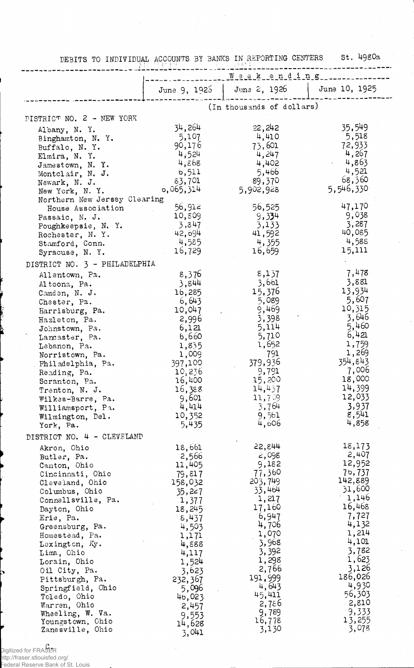|                                                | Weekending          |                           |                 |
|------------------------------------------------|---------------------|---------------------------|-----------------|
|                                                | June $9, 1925$      | June 2, 1926              | June 10, 1925   |
|                                                |                     |                           |                 |
|                                                |                     | (In thousands of dollars) |                 |
| DISTRICT NO. 2 - NEW YORK                      |                     |                           |                 |
| Albany, N. Y.                                  | 34,264              | 22,242                    | 35,549          |
| Binghamton, N. Y.                              | 5,107               | 4,410                     | 5,518           |
| Buffalo, N.Y.                                  | 90,176              | 73,601                    | 72,933          |
| Elmira, N. Y.                                  | 4,524               | 4,247                     | 4,267           |
| Jamestown, N.Y.                                | 4,868               | 4,402                     | 4,863           |
| Montclair, N. J.                               | 6,511               | 5,466                     | 4,521<br>68,360 |
| Newark, N. J.                                  | 83,701<br>6,065,314 | 89,370<br>5,902,928       | 5,546,330       |
| New York, N.Y.<br>Northern New Jersey Clearing |                     |                           |                 |
| House Association                              | 56,912              | 56,525                    | 47,170          |
| Passaic, N. J.                                 | 10,809              | 9,334                     | 9,038           |
| Poughkeepsie, N. Y.                            | 3,847               | 3,133                     | 3,287           |
| Rochester, N.Y.                                | 42,694              | 41,592                    | 40,085          |
| Stamford, Conn.                                | 4,585               | 4,355                     | 4,588           |
| Syracuse, N. Y.                                | 16,729              | 16,659                    | 15,111          |
| DISTRICT NO. 3 - PHILADELPHIA                  |                     |                           |                 |
| Allentown, Pa.                                 | 8,376               | 8,137                     | 7,478           |
| Altoona, Pa.                                   | 3,844               | 3,661                     | 3,881           |
| Camden, N. J.                                  | 16,285              | 15,376                    | 13,934          |
| Chester, Pa.                                   | 6,643               | 5,089                     | 5,607           |
| Harrisburg, Pa.                                | 10,047              | 9,469                     | 10,315          |
| Hazleton, Pa.                                  | 2,996               | 3,398                     | 3,646           |
| Johnstown, Pa.                                 | 6,121               | 5,114                     | 5,460           |
| Lancaster, Pa.                                 | 6,660               | 5,710                     | 6,421           |
| Lebanon, Pa.                                   | 1,835               | 1,652                     | 1,759           |
| Norristown, Pa.                                | 1,009               | 791                       | 1,269           |
| Philadelphia, Pa.                              | 397,100             | 379,936                   | 354,843         |
| Reading, Pa.                                   | 10,236              | 9,791                     | 7,006<br>18,000 |
| Scranton, Pa.                                  | 16,400              | 15,200<br>14,437          | 14,399          |
| Trenton, N. J.                                 | 16,388<br>9,601     | 11,709                    | 12,033          |
| Wilkes-Barre, Pa.                              | 4,414               | 3,764                     | 3,937           |
| Williamsport, Pa.<br>Wilmington, Del.          | 10,352              | 9,561                     | 8,541           |
| York, Pa.                                      | 5,435               | 4,606                     | 4,858           |
| DISTRICT NO. 4 - CLEVELAND                     |                     |                           |                 |
|                                                |                     | 22,844                    | 18,173          |
| Akron, Ohio                                    | 18,661<br>2,566     | 2,098                     | 2,407           |
| Butler, Pa.<br>Canton, Ohio                    | 11,405              | 9,182                     | 12,952          |
| Cincinnati, Ohio                               | 79,817              | 77,360                    | 76,737          |
| Cleveland, Ohio                                | 158,032             | 203,749                   | 142,889         |
| Columbus, Ohio                                 | 35,227              | 33,464                    | 31,600          |
| Connellsville, Pa.                             | 1,377               | 1,217                     | 1,146           |
| Dayton, Ohio                                   | 18,245              | 17,160                    | 16,468          |
| Erie, Pa.                                      | 8,437°              | 6,947                     | 7,727           |
| Greensburg, Pa.                                | 4,503               | 4,706                     | 4,132           |
| Homestead, Pa.                                 | 1,171               | 1,070                     | 1,214           |
| Lexington, Ky.                                 | 4,888               | 3,968                     | 4,101<br>3,782  |
| Lima, Ohio                                     | 4,117               | 3,392                     | 1,623           |
| Lorain, Ohio                                   | 1,524               | 1,298<br>2,766            | 3,126           |
| Oil City, Pa.                                  | 3,623               | 191,999                   | 186,026         |
| Pittsburgh, Pa.<br>Springfield, Ohio           | 232,367<br>5,096    | 4,643                     | 4,930           |
| Toledo, Ohio                                   | 46,023              | 45,411                    | 56,303          |
| Warren, Ohio                                   | 2,457               | 2,786                     | 2,810           |
| Wheeling, W. Va.                               | 9,553               | 9,789                     | 9,333           |
| Youngstown, Ohio                               | 14,628              | 16,778                    | 13,255          |
| Zanesville, Ohio                               | ี ∶ิ ∩ <b>)⊥า</b>   | 3,130                     | 3,078           |

J,

DEBITS TO INDIVIDUAL ACCOUNTS 3Y BANKS IN REPORTING CENTERS St. 49SOa

 $\sim$ 

÷,

c. Digitized for FRASER

http://fraser.stlouisfed.org/ Federal Reserve Bank of St. Louis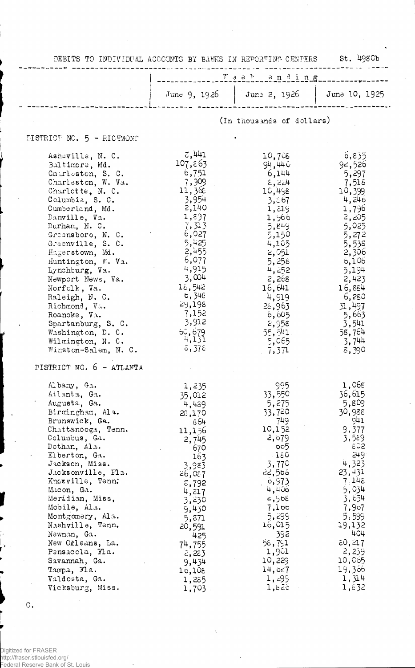| DEBITS TO INDIVIDUAL ACCOUNTS BY BANKS IN REPORTING CENTERS St. 498Cb                                                                                                                                                                                                                                                                                                                                                                                          |                                                                                                                                                                                                                                            |                                                                                                                                                                                                                                       |                                                                                                                                                                                                                     |
|----------------------------------------------------------------------------------------------------------------------------------------------------------------------------------------------------------------------------------------------------------------------------------------------------------------------------------------------------------------------------------------------------------------------------------------------------------------|--------------------------------------------------------------------------------------------------------------------------------------------------------------------------------------------------------------------------------------------|---------------------------------------------------------------------------------------------------------------------------------------------------------------------------------------------------------------------------------------|---------------------------------------------------------------------------------------------------------------------------------------------------------------------------------------------------------------------|
|                                                                                                                                                                                                                                                                                                                                                                                                                                                                | Weekending                                                                                                                                                                                                                                 |                                                                                                                                                                                                                                       |                                                                                                                                                                                                                     |
|                                                                                                                                                                                                                                                                                                                                                                                                                                                                | June $9, 1926$                                                                                                                                                                                                                             | Jun: 2, 1926                                                                                                                                                                                                                          | June 10, 1925                                                                                                                                                                                                       |
|                                                                                                                                                                                                                                                                                                                                                                                                                                                                |                                                                                                                                                                                                                                            | (In thousands of dollars)                                                                                                                                                                                                             |                                                                                                                                                                                                                     |
| DISTRICT NO. 5 - RICHMOND                                                                                                                                                                                                                                                                                                                                                                                                                                      |                                                                                                                                                                                                                                            |                                                                                                                                                                                                                                       |                                                                                                                                                                                                                     |
| Asheville, N. C.<br>Baltimore, Md.<br>Cnarleston, S. C.<br>Charleston, W. Va.<br>Charlotte, N. C.<br>Columbia, S. C.<br>Cumberland, Md.<br>Danville, Va.<br>Durham, N. C.<br>Greensboro, N. C.<br>Greenville, S. C.<br>Hagerstown, Md.<br>Huntington, W. Va.<br>Lynchburg, Va.<br>Newport News, Va.<br>Norfolk, Va.<br>Raleigh, N. C.<br>Richmond, Va.<br>Roanoke, Va.<br>Spartanburg, S. C.<br>Washington, D. C.<br>Wilmington, N. C.<br>Winston-Salem, N. C. | 3,441 ق<br>107,863<br>6,751<br>7,909<br>11,36 $\varepsilon$<br>3,954<br>2,140<br>1,897<br>7,313<br>6,027<br>5,425<br>2,455<br>6,077<br>4,915<br>3,004<br>16,542<br><b>b,348</b><br>29,198<br>7,152<br>3,912<br>$60, 679$<br>4,131<br>5,378 | 10,7ેઠ<br>94,440<br>6,144<br>$\epsilon$ , 224<br>10,498<br>3,867<br>1, 519<br>1,966<br>5,849<br>5,150<br>4,105<br>2,051<br>5,258<br>4,252<br>2,268<br>16,641<br>4,919<br>26,963<br>6,605<br>2,958<br>55,541<br>5,065<br>7,371         | 6,835<br>92,526<br>5,297<br>7,518<br>10,399<br>4,246<br>1,796<br>2,205<br>5,025<br>5,272<br>5,538<br>2,306<br>6,106<br>5,194<br>2,423<br>16,884<br>6,280<br>31,497<br>5,663<br>3,541<br>58,764<br>3,744<br>8,390    |
| DISTRICT NO. 6 - ATLANTA                                                                                                                                                                                                                                                                                                                                                                                                                                       |                                                                                                                                                                                                                                            |                                                                                                                                                                                                                                       |                                                                                                                                                                                                                     |
| Albany, Ga.<br>Atlanta, Ga.<br>Augusta, Ga.<br>Birmingham, Ala.<br>Brunswick, Ga.<br>Chattanooga, Tenn.<br>Columbus, Ga.<br>Dothan, Ala.<br>Elberton, Ga.<br>Jackson, Miss.<br>Jacksonville, Fla.<br>Knoxville, Tenn:<br>Macon, Ga.<br>Meridian, Miss,<br>Mobile, Ala.<br>Montgomery, Ala.<br>Nashville, Tenn.<br>Newnan, Ga.<br>New Orleans, La.<br>Pensacola, Fla.<br>Savannah, Ga.<br>Tampa, Fla.<br>Valdosta, Ga.<br>Vicksburg, Miss.                      | 1,235<br>35,012<br>4,489<br>28,170<br>ε64<br>11,156<br>2,745<br>670<br>163<br>3,983<br>26,087<br>5,792<br>4, 517<br>3,230<br>9,430<br>5,871<br>20,591<br>425<br>74,755<br>2,223<br>9,434<br>10,108<br>1,285<br>1,703                       | 995<br>33,550<br>5,275<br>33,720<br>749.<br>10,152<br>2,679<br>ხინ<br>$-180$<br>3,770<br>22,568<br>0,973<br>4,400<br>$30\frac{1}{2}$ , 2<br>7,100<br>5,299<br>16,015<br>392<br>58,751<br>1,981<br>10,229<br>14,027<br>1, 299<br>1,820 | 1,068<br>36,615<br>5,809<br>30,988<br>941<br>9,377<br>3,589<br>802<br>249<br>4,323<br>23,431<br>7.145<br>5,034<br>3,654<br>7,907<br>5,599<br>19,132<br>404<br>50,217<br>2,259<br>10,055<br>19,300<br>1,314<br>1,832 |

 $\dot{\gamma}$ 

 $\ddot{\phantom{a}}$ 

Digitized for FRASER http://fraser.stlouisfed.org/ Federal Reserve Bank of St. Louis

 $\mathbf C$  .  $\frac{1}{2}$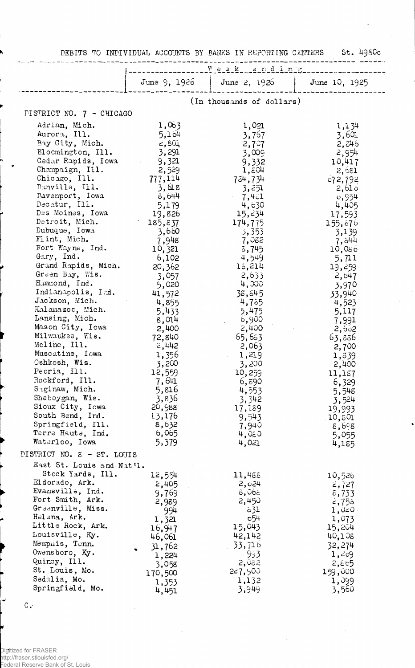DEBITS TO INDIVIDUAL ACCOUNTS BY BANKS IN REPORTING CENTERS St. 498Cc

|                              |                                                  | June 9, 1926   June 2, 1926          | June 10, 1925    |  |  |  |
|------------------------------|--------------------------------------------------|--------------------------------------|------------------|--|--|--|
|                              |                                                  |                                      |                  |  |  |  |
| PISTRICT NO. 7 - CHICAGO     | (In thousands of dollars)                        |                                      |                  |  |  |  |
|                              |                                                  |                                      |                  |  |  |  |
| Adrian, Mich.                | 1,063                                            | 1,021                                | 1,134            |  |  |  |
| Aurora, Ill.                 | 5,164                                            | 3,767                                | -3,601           |  |  |  |
| Bay City, Mich.              | بة 2,80                                          | $2,7$ <sup><math>\circ</math>7</sup> | 2, బ46           |  |  |  |
| Blocmington, Ill.            | 3,291                                            | 3,009                                | 2,954            |  |  |  |
| Cedar Rapids, Iowa           | 9,321<br>$\mathcal{L}^{\text{max}}_{\text{max}}$ | 9,332                                | 10,417           |  |  |  |
| Champaign, Ill.              | 2,529                                            | 1,804                                | 2,681            |  |  |  |
| Chicago, Ill.                | 777,114                                          | 734,734                              | 072,792          |  |  |  |
| Danville, Ill.               | 3,618                                            | 3,251                                | 2,610            |  |  |  |
| Davenport, Iowa              | 8,644                                            | $-7,421$                             | 0,954            |  |  |  |
| Decatur, Ill.                | 5,179                                            | 4,630                                | 4,405            |  |  |  |
| Des Moines, Iowa             | 19,826                                           | 15,234                               | 17,593           |  |  |  |
| Detroit, Mich.               | 185,837                                          | 174,775                              | 155,876          |  |  |  |
| Dubuque, Iowa                | 3,660                                            | 3,353                                | 3,139            |  |  |  |
| Flint, Mich.                 | 7,948                                            | 7,052                                | 7,544            |  |  |  |
| Fort Wayne, Ind.             | 10,321                                           | 5,745                                | 10,086           |  |  |  |
| Gary, Ind.                   | 6,102                                            | 4,549                                | 5,711            |  |  |  |
| Grand Rapids, Mich.          | 20,362                                           | 13,214                               | 19,259           |  |  |  |
| Green Bay, Wis.              | 3,057                                            | 2,633                                | 2,647            |  |  |  |
| Hammond, Ind.                | 5,020                                            | 4,000                                | 3,970            |  |  |  |
| Indianapolis, Ind.           | 41,572                                           | 38,545                               | 33,940           |  |  |  |
| Jackson, Mich.               | 4,855                                            | 4,75                                 | 4,523            |  |  |  |
| Kalamazoc, Mich.             | 5,433                                            | 5,475                                | 5,117            |  |  |  |
| Lansing, Mich.               | 8,014                                            | 6,900                                | 7,991            |  |  |  |
| Mason City, Iowa             | 2,400                                            | 2,400                                | 2,652            |  |  |  |
| Milwaukee, Wis.              | 72,840                                           | 65,653                               | 63,836           |  |  |  |
| Moline, Ill.                 | 2,442                                            | 2,063                                | 2,700            |  |  |  |
| Muscatine, Iowa              | 1,356                                            | 1,219                                | 1,339            |  |  |  |
| Oshkosh, Wis.                | 3,200                                            | 3,200                                | 2,400            |  |  |  |
| Peoria, Ill.                 | 12,559                                           | 10,259                               | 11,187           |  |  |  |
| Rockford, Ill.               | 7,641                                            | 6,890                                | 6,329            |  |  |  |
| Saginaw, Mich.               | 5,816                                            | 4,553                                | 5,548            |  |  |  |
| Sheboygan, Wis.              | 3,836                                            | 3,342                                | 3,524            |  |  |  |
| Sioux City, Iowa             | 20,988                                           | 17,189                               | 19,993           |  |  |  |
| South Bend, Ind.             | 13,176                                           | 9,543                                | 10,801           |  |  |  |
| Springfield, Ill.            | 8,632                                            | 7,940                                | 8,698            |  |  |  |
| Terre Haute, Ind.            | 6,065                                            | 4,050                                | 5,055            |  |  |  |
| Waterloo, Iowa               | 5,379                                            | 4,021                                | 4,185            |  |  |  |
| PISTRICT NO. $5 - ST.$ LOUIS |                                                  |                                      |                  |  |  |  |
| East St. Louis and Nat'l.    |                                                  |                                      |                  |  |  |  |
| Stock Yards, Ill.            | 12,554                                           | 11,488                               | 10,526           |  |  |  |
| Eldorado, Ark.               | 2,405                                            | 2,024                                | 2,727            |  |  |  |
| Evansville, Ind.             | 9,769                                            | 8,068                                | $\epsilon$ , 733 |  |  |  |
| Fort Smith, Ark.             | 2,989                                            | 2,450                                | 2,755            |  |  |  |
| Greenville, Miss.            | 994                                              | $\circ$ 31                           | $1,0<0$ .        |  |  |  |
| Helena, Ark.                 | 1,321                                            | 654                                  | 1,073            |  |  |  |
| Little Rock, Ark.            | 16,947                                           | 15,043                               | 15,204           |  |  |  |
| Louisville, Ky.              | 46,061                                           | 42,142                               | 40,108           |  |  |  |
| Memphis, Tenn.               | 31,762                                           | 33,716                               | 32,274           |  |  |  |
| Owensboro, Ky.               | 1,224                                            | 953                                  | 1,209            |  |  |  |
| Quincy, Ill.                 | 3,058                                            | 2,082                                | 2,865            |  |  |  |
| St. Louis, Mo.               | 170,500                                          | 227,900                              | 159,000          |  |  |  |
| Sedalia, Mo.                 | 1,353                                            | 1,132                                | 1,099            |  |  |  |
| Springfield, Mo.             | 4,451                                            | 3,949                                | 3,560            |  |  |  |

Digitized for FRASER http://fraser.stlouisfed.org/ Federal Reserve Bank of St. Louis

J

 $\mathbf{C}$  .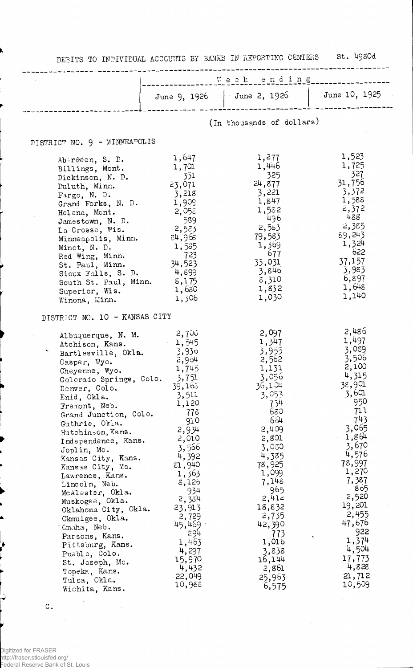| DEBITS TO INDIVIDUAL ACCOUNTS BY BANKS IN REPORTING CENTERS St. 4980d                                                                                                                                                                                                                                                                                                                                                                                                                                                                                                                     |                                                                                                                                                                                                                                                                   |                                                                                                                                                                                                                                                                         |                                                                                                                                                                                                                                                                           |
|-------------------------------------------------------------------------------------------------------------------------------------------------------------------------------------------------------------------------------------------------------------------------------------------------------------------------------------------------------------------------------------------------------------------------------------------------------------------------------------------------------------------------------------------------------------------------------------------|-------------------------------------------------------------------------------------------------------------------------------------------------------------------------------------------------------------------------------------------------------------------|-------------------------------------------------------------------------------------------------------------------------------------------------------------------------------------------------------------------------------------------------------------------------|---------------------------------------------------------------------------------------------------------------------------------------------------------------------------------------------------------------------------------------------------------------------------|
|                                                                                                                                                                                                                                                                                                                                                                                                                                                                                                                                                                                           | LOCAL ending-                                                                                                                                                                                                                                                     |                                                                                                                                                                                                                                                                         |                                                                                                                                                                                                                                                                           |
|                                                                                                                                                                                                                                                                                                                                                                                                                                                                                                                                                                                           |                                                                                                                                                                                                                                                                   | June 9, 1926   June 2, 1926   June 10, 1925                                                                                                                                                                                                                             |                                                                                                                                                                                                                                                                           |
|                                                                                                                                                                                                                                                                                                                                                                                                                                                                                                                                                                                           |                                                                                                                                                                                                                                                                   | (In thousands of dollars)                                                                                                                                                                                                                                               |                                                                                                                                                                                                                                                                           |
| DISTRICT NO. 9 - MINNEAPOLIS                                                                                                                                                                                                                                                                                                                                                                                                                                                                                                                                                              |                                                                                                                                                                                                                                                                   |                                                                                                                                                                                                                                                                         |                                                                                                                                                                                                                                                                           |
| Aberdeen, S. D.<br>Billings, Mont.<br>Dickinson, N. D.<br>Duluth, Minn.<br>Fargo, N. D.<br>Grand Forks, N. D.<br>Helena, Mont.<br>Jamestown, N. D.<br>La Crosse, Wis.<br>Minneapolis, Minn.<br>Minot, N. D.<br>Red Wing, Minn.<br>St. Paul, Minn.<br>Sioux Falls, S. D. $4,899$<br>South St. Paul, Minn. 5,175<br>Superior, Wis.                                                                                                                                                                                                                                                          | 1,647<br>1,701<br>351<br>23,071<br>3,218<br>1,909<br>2,058<br>589<br>2,53<br>દ4,96૬<br>1,535<br>723<br>34,523<br>1,630<br>1,306                                                                                                                                   | 1,277<br>1,446<br>325<br>24,877<br>3,221<br>1,847<br>1,582<br>- 496<br>2,583<br>79,583<br>1,369<br>677<br>33,031<br>3,846<br>8,310<br>1,832<br>1,030                                                                                                                    | 1,523<br>1,725<br>- 327<br>31,756<br>3,372<br>1,588<br>2,372<br>438 -<br>2,385<br>89,243<br>1,324<br>622<br>37,157<br>3,983<br>6,897<br>1,648<br>1,140                                                                                                                    |
| Winona, Minn.<br>DISTRICT NO. 10 - KANSAS CITY                                                                                                                                                                                                                                                                                                                                                                                                                                                                                                                                            |                                                                                                                                                                                                                                                                   |                                                                                                                                                                                                                                                                         |                                                                                                                                                                                                                                                                           |
| Albuquerque, N. M. $2,700$<br>Atchison, Kans.<br>Bartlesville, Okla. 3,930<br>Casper, Wyo.<br>Cheyenne, Wyo.<br>Colorado Springs, Colo.<br>Denver, Colo.<br>Enid, Okla.<br>Fremont, Neb.<br>Grand Junction, Colo.<br>Guthrie, Okla.<br>Hutchinson, Kans.<br>Independence, Kans.<br>Joplin, Mo.<br>Kansas City, Kans.<br>Kansas City, Mo.<br>Lawrence, Kans.<br>Lincoln, Neb.<br>McAlester, Okla.<br>Muskogee, Okla.<br>Oklahoma City, Okla.<br>Okmulgee, Okla.<br>·Gmaha, Neb.<br>Parsons, Kans.<br>Pittsburg, Kans.<br>Pueblo, Colo.<br>St. Joseph, Mc.<br>Topeka, Kans.<br>Tulsa, Okla. | 1,545<br>2,964<br>1,745<br>3,751<br>39,165<br>3,511<br>1,120<br>778<br>910<br>2,934<br>2,010<br>3,566<br>4,392<br>$\epsilon$ 1,940<br>1,363<br>8,126<br>934<br>2,334<br>23,913<br>2,729<br>45,469<br>894<br>1,463<br>4,297<br>15,970<br>4,432<br>22,049<br>10,988 | 2,097<br>1,347<br>3,955<br>2,562<br>1,131<br>3,056<br>36,104<br>3,053<br>734<br>680<br>664<br>2,409<br>2,801<br>3,080<br>4,385<br>78,925<br>1,099<br>7,148<br>965.<br>2,41c<br>18,832<br>2,735<br>42,390<br>773<br>1,016<br>3,838<br>16,144<br>2,861<br>25,963<br>6,575 | -2,486<br>1,497<br>3,089<br>3,506<br>2,100<br>4,315<br>38,901<br>3,601<br>950<br>71 l<br>743<br>3,065<br>1,864<br>3,670<br>4,576<br>78,997<br>1,270<br>7,387<br>865<br>2,520<br>19,201<br>2,455<br>47,676<br>922<br>1,374<br>4,504<br>17,773<br>4,828<br>21,712<br>10,509 |

 $\cdot$ 

Digitized for FRASER http://fraser.stlouisfed.org/ Federal Reserve Bank of St. Louis

 $\cdot$ 

 $\mathtt{C}$  .

ò

ذ